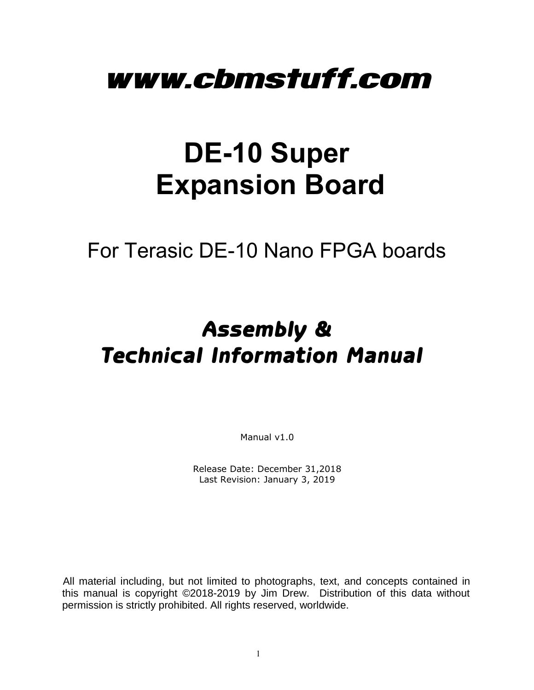# www.cbmstuff.com

# **DE-10 Super Expansion Board**

For Terasic DE-10 Nano FPGA boards

# Assembly & Technical Information Manual

Manual v1.0

Release Date: December 31,2018 Last Revision: January 3, 2019

All material including, but not limited to photographs, text, and concepts contained in this manual is copyright ©2018-2019 by Jim Drew. Distribution of this data without permission is strictly prohibited. All rights reserved, worldwide.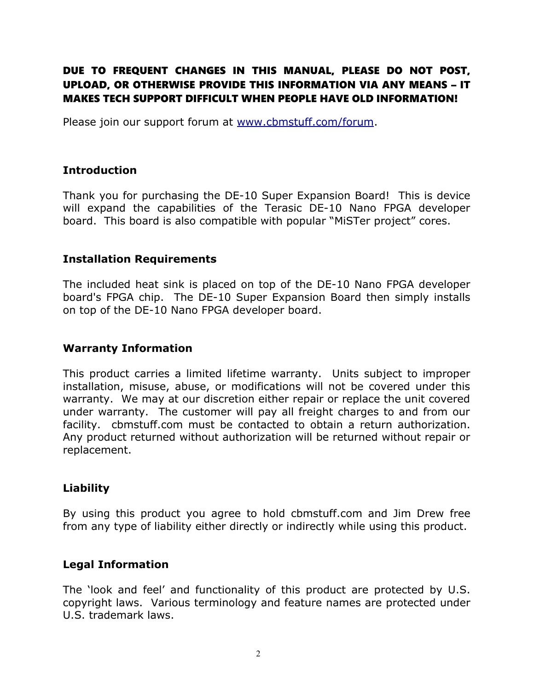#### DUE TO FREQUENT CHANGES IN THIS MANUAL, PLEASE DO NOT POST, UPLOAD, OR OTHERWISE PROVIDE THIS INFORMATION VIA ANY MEANS – IT MAKES TECH SUPPORT DIFFICULT WHEN PEOPLE HAVE OLD INFORMATION!

Please join our support forum at [www.cbmstuff.com/forum.](http://www.cbmstuff.com/forum)

#### **Introduction**

Thank you for purchasing the DE-10 Super Expansion Board! This is device will expand the capabilities of the Terasic DE-10 Nano FPGA developer board. This board is also compatible with popular "MiSTer project" cores.

#### **Installation Requirements**

The included heat sink is placed on top of the DE-10 Nano FPGA developer board's FPGA chip. The DE-10 Super Expansion Board then simply installs on top of the DE-10 Nano FPGA developer board.

#### **Warranty Information**

This product carries a limited lifetime warranty. Units subject to improper installation, misuse, abuse, or modifications will not be covered under this warranty. We may at our discretion either repair or replace the unit covered under warranty. The customer will pay all freight charges to and from our facility. cbmstuff.com must be contacted to obtain a return authorization. Any product returned without authorization will be returned without repair or replacement.

#### **Liability**

By using this product you agree to hold cbmstuff.com and Jim Drew free from any type of liability either directly or indirectly while using this product.

#### **Legal Information**

The 'look and feel' and functionality of this product are protected by U.S. copyright laws. Various terminology and feature names are protected under U.S. trademark laws.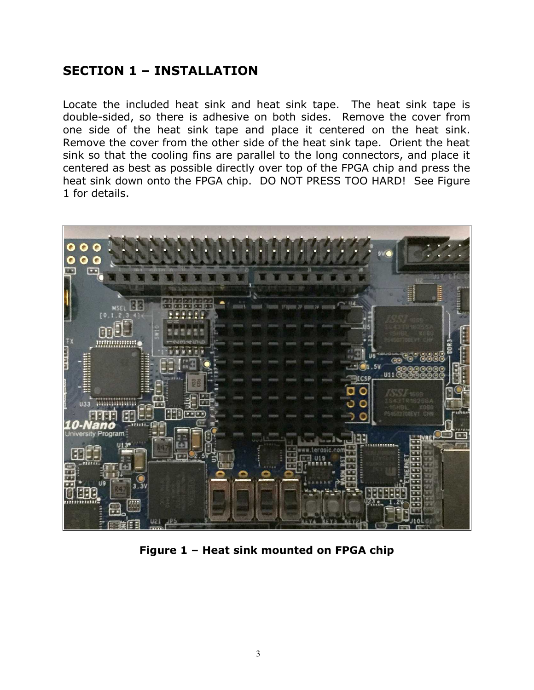# **SECTION 1 – INSTALLATION**

Locate the included heat sink and heat sink tape. The heat sink tape is double-sided, so there is adhesive on both sides. Remove the cover from one side of the heat sink tape and place it centered on the heat sink. Remove the cover from the other side of the heat sink tape. Orient the heat sink so that the cooling fins are parallel to the long connectors, and place it centered as best as possible directly over top of the FPGA chip and press the heat sink down onto the FPGA chip. DO NOT PRESS TOO HARD! See Figure 1 for details.



**Figure 1 – Heat sink mounted on FPGA chip**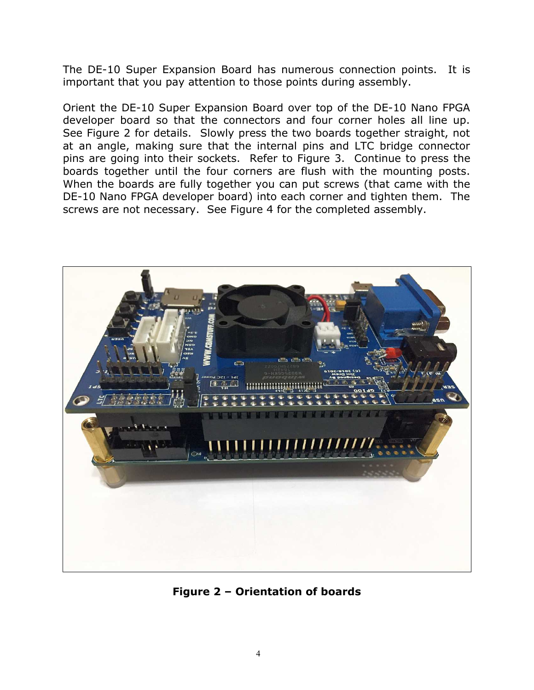The DE-10 Super Expansion Board has numerous connection points. It is important that you pay attention to those points during assembly.

Orient the DE-10 Super Expansion Board over top of the DE-10 Nano FPGA developer board so that the connectors and four corner holes all line up. See Figure 2 for details. Slowly press the two boards together straight, not at an angle, making sure that the internal pins and LTC bridge connector pins are going into their sockets. Refer to Figure 3. Continue to press the boards together until the four corners are flush with the mounting posts. When the boards are fully together you can put screws (that came with the DE-10 Nano FPGA developer board) into each corner and tighten them. The screws are not necessary. See Figure 4 for the completed assembly.



**Figure 2 – Orientation of boards**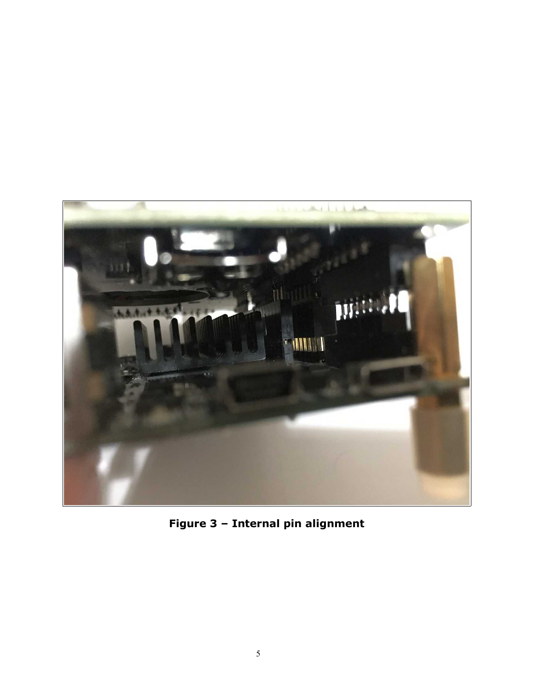

**Figure 3 – Internal pin alignment**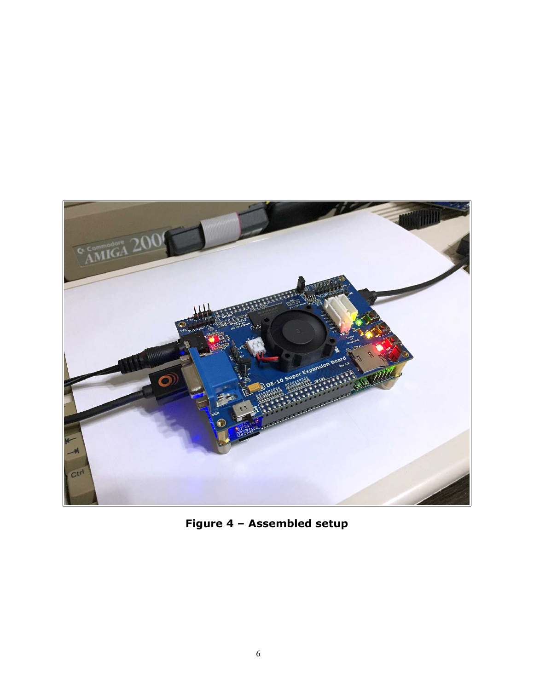

**Figure 4 – Assembled setup**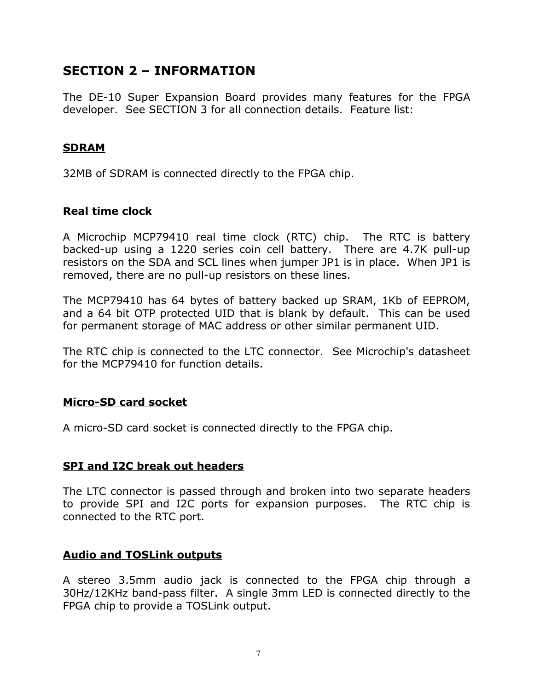# **SECTION 2 – INFORMATION**

The DE-10 Super Expansion Board provides many features for the FPGA developer. See SECTION 3 for all connection details. Feature list:

#### **SDRAM**

32MB of SDRAM is connected directly to the FPGA chip.

#### **Real time clock**

A Microchip MCP79410 real time clock (RTC) chip. The RTC is battery backed-up using a 1220 series coin cell battery. There are 4.7K pull-up resistors on the SDA and SCL lines when jumper JP1 is in place. When JP1 is removed, there are no pull-up resistors on these lines.

The MCP79410 has 64 bytes of battery backed up SRAM, 1Kb of EEPROM, and a 64 bit OTP protected UID that is blank by default. This can be used for permanent storage of MAC address or other similar permanent UID.

The RTC chip is connected to the LTC connector. See Microchip's datasheet for the MCP79410 for function details.

#### **Micro-SD card socket**

A micro-SD card socket is connected directly to the FPGA chip.

#### **SPI and I2C break out headers**

The LTC connector is passed through and broken into two separate headers to provide SPI and I2C ports for expansion purposes. The RTC chip is connected to the RTC port.

#### **Audio and TOSLink outputs**

A stereo 3.5mm audio jack is connected to the FPGA chip through a 30Hz/12KHz band-pass filter. A single 3mm LED is connected directly to the FPGA chip to provide a TOSLink output.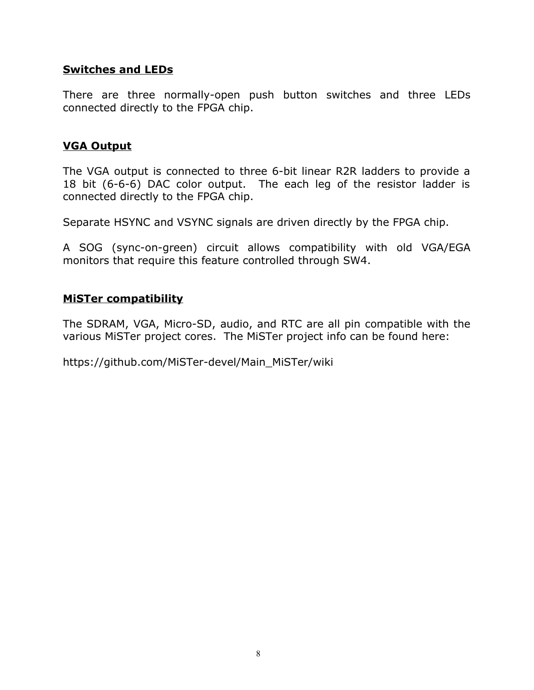#### **Switches and LEDs**

There are three normally-open push button switches and three LEDs connected directly to the FPGA chip.

#### **VGA Output**

The VGA output is connected to three 6-bit linear R2R ladders to provide a 18 bit (6-6-6) DAC color output. The each leg of the resistor ladder is connected directly to the FPGA chip.

Separate HSYNC and VSYNC signals are driven directly by the FPGA chip.

A SOG (sync-on-green) circuit allows compatibility with old VGA/EGA monitors that require this feature controlled through SW4.

#### **MiSTer compatibility**

The SDRAM, VGA, Micro-SD, audio, and RTC are all pin compatible with the various MiSTer project cores. The MiSTer project info can be found here:

https://github.com/MiSTer-devel/Main\_MiSTer/wiki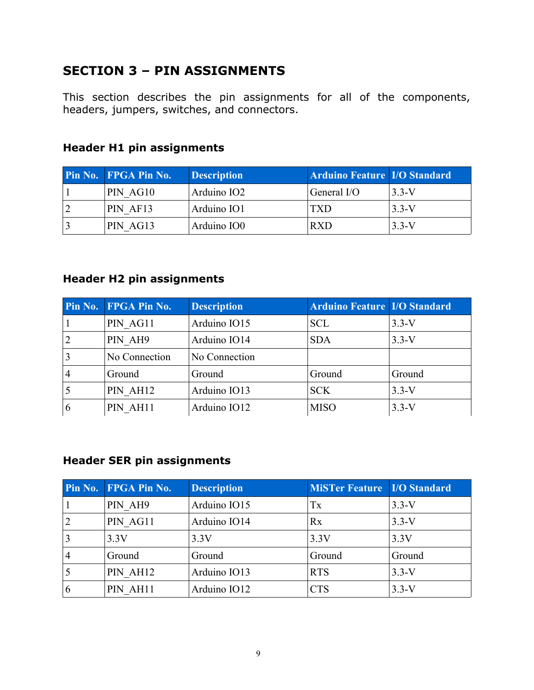# **SECTION 3 – PIN ASSIGNMENTS**

This section describes the pin assignments for all of the components, headers, jumpers, switches, and connectors.

| <b>Pin No. FPGA Pin No.</b> | <b>Description</b> | <b>Arduino Feature I/O Standard</b> |           |
|-----------------------------|--------------------|-------------------------------------|-----------|
| PIN AG10                    | Arduino IO2        | General I/O                         | $3.3 - V$ |
| PIN AF13                    | Arduino IO1        | <b>TXD</b>                          | $3.3-V$   |
| PIN AG13                    | Arduino IO0        | R X D                               | $3.3-V$   |

# **Header H1 pin assignments**

#### **Header H2 pin assignments**

|                | Pin No. FPGA Pin No. | <b>Description</b> | <b>Arduino Feature I/O Standard</b> |         |
|----------------|----------------------|--------------------|-------------------------------------|---------|
|                | PIN AG11             | Arduino IO15       | <b>SCL</b>                          | $3.3-V$ |
| $ 2\rangle$    | PIN AH9              | Arduino IO14       | <b>SDA</b>                          | $3.3-V$ |
| $\vert$ 3      | No Connection        | No Connection      |                                     |         |
| $\overline{4}$ | Ground               | Ground             | Ground                              | Ground  |
|                | PIN AH12             | Arduino IO13       | <b>SCK</b>                          | $3.3-V$ |
| 6              | PIN AH11             | Arduino IO12       | <b>MISO</b>                         | $3.3-V$ |

#### **Header SER pin assignments**

|               | <b>Pin No. FPGA Pin No.</b> | <b>Description</b> | <b>MiSTer Feature I/O Standard</b> |         |
|---------------|-----------------------------|--------------------|------------------------------------|---------|
|               | PIN AH9                     | Arduino IO15       | Tx                                 | $3.3-V$ |
|               | PIN AG11                    | Arduino IO14       | Rx                                 | $3.3-V$ |
|               | 3.3V                        | 3.3V               | 3.3V                               | 3.3V    |
|               | Ground                      | Ground             | Ground                             | Ground  |
|               | PIN AH12                    | Arduino IO13       | <b>RTS</b>                         | $3.3-V$ |
| $\mathfrak b$ | PIN AH11                    | Arduino IO12       | $\rm {CTS}$                        | $3.3-V$ |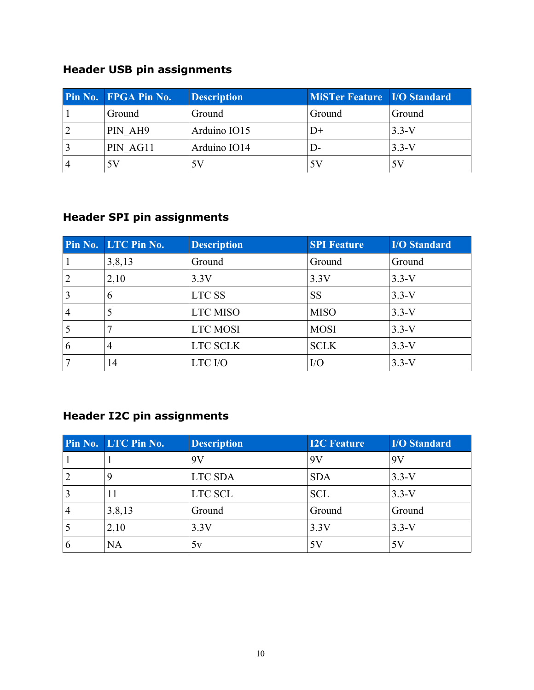# **Header USB pin assignments**

| <b>Pin No. FPGA Pin No.</b> | <b>Description</b> | MiSTer Feature   I/O Standard |         |
|-----------------------------|--------------------|-------------------------------|---------|
| Ground                      | Ground             | Ground                        | Ground  |
| PIN AH9                     | Arduino IO15       | $_{1+}$                       | $3.3-V$ |
| PIN AG11                    | Arduino IO14       | $\mathsf{D}$                  | $3.3-V$ |
|                             | 5 V                | 5 V                           |         |

# **Header SPI pin assignments**

|                | Pin No. LTC Pin No. | <b>Description</b> | <b>SPI Feature</b> | <b>I/O Standard</b> |
|----------------|---------------------|--------------------|--------------------|---------------------|
|                | 3,8,13              | Ground             | Ground             | Ground              |
| $\overline{2}$ | 2,10                | 3.3V               | 3.3V               | $3.3-V$             |
| $\vert 3$      | 6                   | LTC SS             | <b>SS</b>          | $3.3-V$             |
| $\vert 4$      | 5                   | <b>LTC MISO</b>    | <b>MISO</b>        | $3.3-V$             |
|                |                     | <b>LTC MOSI</b>    | <b>MOSI</b>        | $3.3-V$             |
| 6              | $\overline{4}$      | LTC SCLK           | <b>SCLK</b>        | $3.3-V$             |
|                | 14                  | LTC I/O            | I/O                | $3.3-V$             |

# **Header I2C pin assignments**

|                | Pin No. LTC Pin No. | <b>Description</b> | <b>I2C Feature</b> | <b>I/O Standard</b> |
|----------------|---------------------|--------------------|--------------------|---------------------|
|                |                     | 9V                 | 9V                 | 9V                  |
| $\overline{2}$ | 9                   | LTC SDA            | <b>SDA</b>         | $3.3-V$             |
|                | 11                  | LTC SCL            | <b>SCL</b>         | $3.3-V$             |
|                | 3,8,13              | Ground             | Ground             | Ground              |
|                | 2,10                | 3.3V               | 3.3V               | $3.3-V$             |
| 6              | <b>NA</b>           | 5v                 | 5V                 | 5V                  |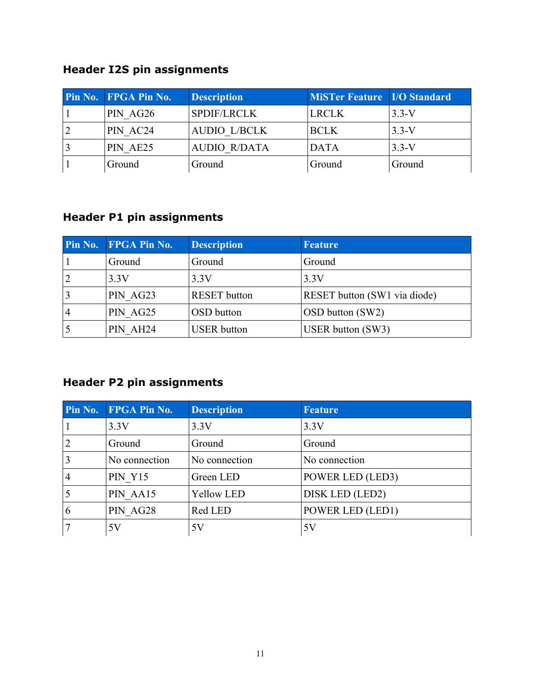# **Header I2S pin assignments**

| <b>Pin No. FPGA Pin No.</b> | <b>Description</b>  | <b>MiSTer Feature I/O Standard</b> |         |
|-----------------------------|---------------------|------------------------------------|---------|
| PIN AG26                    | <b>SPDIF/LRCLK</b>  | <b>LRCLK</b>                       | $3.3-V$ |
| PIN AC24                    | <b>AUDIO L/BCLK</b> | <b>BCLK</b>                        | $3.3-V$ |
| PIN AE25                    | <b>AUDIO R/DATA</b> | <b>DATA</b>                        | $3.3-V$ |
| Ground                      | Ground              | Ground                             | Ground  |

# **Header P1 pin assignments**

|                | <b>Pin No. FPGA Pin No.</b> | <b>Description</b>  | <b>Feature</b>               |
|----------------|-----------------------------|---------------------|------------------------------|
|                | Ground                      | Ground              | Ground                       |
| $\overline{2}$ | 3.3V                        | 3.3V                | 3.3V                         |
|                | PIN AG23                    | <b>RESET</b> button | RESET button (SW1 via diode) |
| $\overline{4}$ | PIN AG25                    | OSD button          | OSD button (SW2)             |
|                | PIN AH24                    | <b>USER</b> button  | USER button (SW3)            |

# **Header P2 pin assignments**

|                | Pin No. FPGA Pin No. | <b>Description</b> | <b>Feature</b>   |
|----------------|----------------------|--------------------|------------------|
|                | 3.3V                 | 3.3V               | 3.3V             |
| $\overline{2}$ | Ground               | Ground             | Ground           |
| $\vert$ 3      | No connection        | No connection      | No connection    |
| $\vert 4$      | <b>PIN Y15</b>       | Green LED          | POWER LED (LED3) |
|                | PIN AA15             | <b>Yellow LED</b>  | DISK LED (LED2)  |
| $\vert 6$      | PIN AG28             | Red LED            | POWER LED (LED1) |
| $\overline{7}$ | 5V                   | 5V                 | 5V               |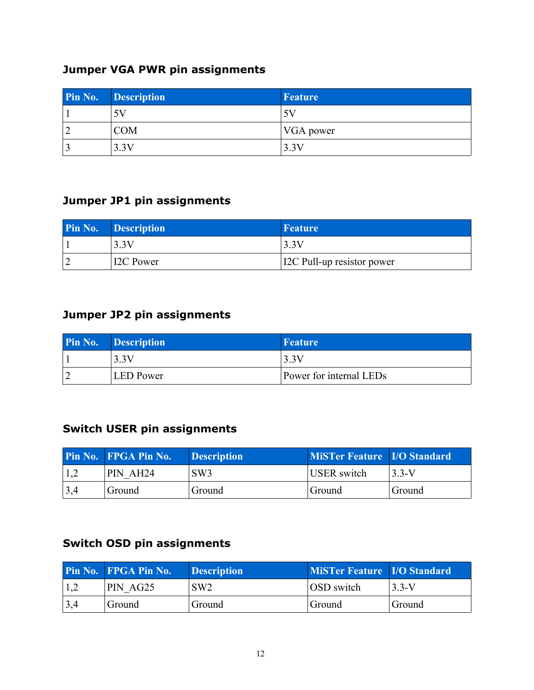# **Jumper VGA PWR pin assignments**

| <b>Pin No. Description</b> | Feature       |
|----------------------------|---------------|
| 5V                         |               |
| <b>COM</b>                 | $ VGA $ power |
| 3.3V                       | 3.3V          |

### **Jumper JP1 pin assignments**

| <b>Pin No. Description</b> | Feature                           |
|----------------------------|-----------------------------------|
| 3.3V                       | 3.3V                              |
| <b>I2C Power</b>           | <b>IZC</b> Pull-up resistor power |

### **Jumper JP2 pin assignments**

| <b>Pin No. Description</b> | Feature                 |
|----------------------------|-------------------------|
| 3.3V                       | 3.3V                    |
| <b>LED</b> Power           | Power for internal LEDs |

### **Switch USER pin assignments**

|                     | <b>Pin No. FPGA Pin No.</b> | <b>Description</b> | <b>MiSTer Feature I/O Standard</b> |                 |
|---------------------|-----------------------------|--------------------|------------------------------------|-----------------|
|                     | PIN AH24                    | SW3                | <b>USER</b> switch                 | $\sqrt{3.3}$ -V |
| $\vert 3,4 \rangle$ | Ground                      | Ground             | Ground                             | Ground          |

# **Switch OSD pin assignments**

|                     | <b>Pin No. FPGA Pin No.</b> | <b>Description</b> | <b>MiSTer Feature I/O Standard</b> |         |
|---------------------|-----------------------------|--------------------|------------------------------------|---------|
|                     | PIN AG25                    | SW <sub>2</sub>    | OSD switch                         | $3.3-V$ |
| $\vert 3,4 \rangle$ | Ground                      | Ground             | Ground                             | Ground  |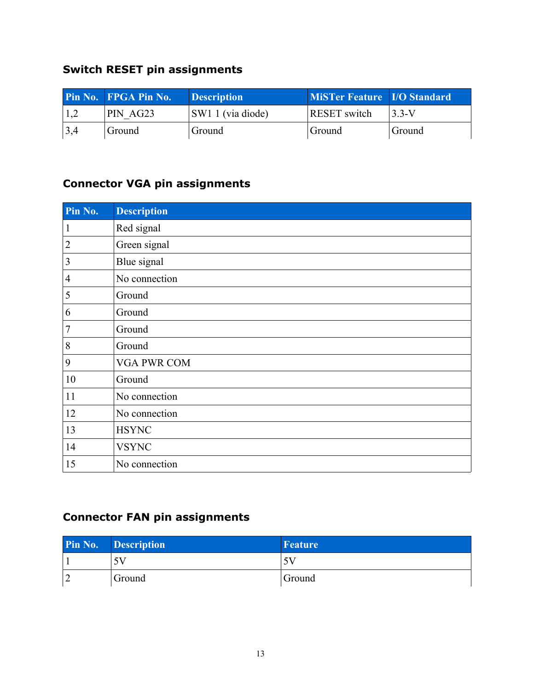# **Switch RESET pin assignments**

|     | <b>Pin No. FPGA Pin No.</b> | <b>Description</b>  | MiSTer Feature   I/O Standard |          |
|-----|-----------------------------|---------------------|-------------------------------|----------|
|     | PIN AG23                    | $ SW11$ (via diode) | <b>RESET</b> switch           | $ 3.3-V$ |
| 3,4 | Ground                      | Ground              | Ground                        | Ground   |

# **Connector VGA pin assignments**

| Pin No.        | <b>Description</b> |
|----------------|--------------------|
| 1              | Red signal         |
| $\overline{2}$ | Green signal       |
| 3              | Blue signal        |
| $\overline{4}$ | No connection      |
| 5              | Ground             |
| 6              | Ground             |
| 7              | Ground             |
| 8              | Ground             |
| 9              | <b>VGA PWR COM</b> |
| 10             | Ground             |
| 11             | No connection      |
| 12             | No connection      |
| 13             | <b>HSYNC</b>       |
| 14             | <b>VSYNC</b>       |
| 15             | No connection      |

# **Connector FAN pin assignments**

|   | Pin No. Description | Feature |
|---|---------------------|---------|
|   | 5V                  |         |
| ∽ | Ground              | Ground  |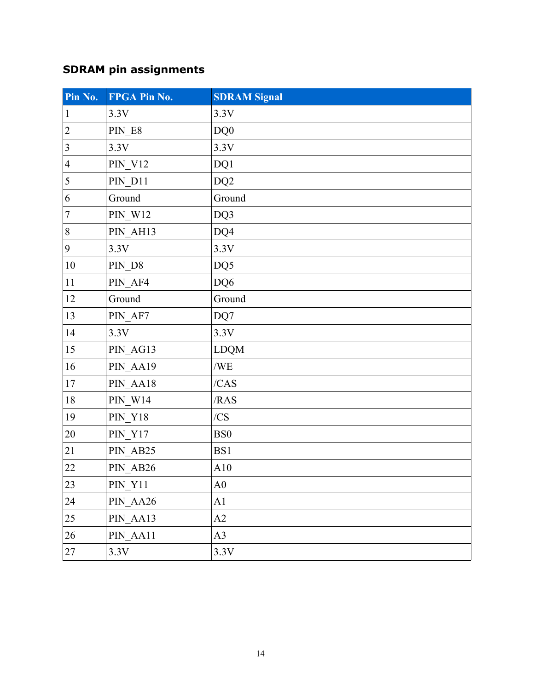# **SDRAM pin assignments**

| Pin No.          | FPGA Pin No.   | <b>SDRAM Signal</b> |
|------------------|----------------|---------------------|
| $\mathbf{1}$     | 3.3V           | 3.3V                |
| $\overline{2}$   | PIN E8         | DQ0                 |
| $\mathfrak{Z}$   | 3.3V           | 3.3V                |
| $\overline{4}$   | <b>PIN_V12</b> | DQ1                 |
| 5                | PIN D11        | DQ <sub>2</sub>     |
| $\boldsymbol{6}$ | Ground         | Ground              |
| $\overline{7}$   | <b>PIN W12</b> | DQ3                 |
| $\, 8$           | PIN_AH13       | DQ4                 |
| 9                | 3.3V           | 3.3V                |
| $10\,$           | PIN_D8         | DQ5                 |
| 11               | PIN AF4        | DQ6                 |
| 12               | Ground         | Ground              |
| 13               | PIN_AF7        | DQ7                 |
| 14               | 3.3V           | 3.3V                |
| 15               | PIN_AG13       | <b>LDQM</b>         |
| 16               | PIN_AA19       | /WE                 |
| 17               | PIN AA18       | /CAS                |
| $18\,$           | <b>PIN_W14</b> | /RAS                |
| 19               | <b>PIN_Y18</b> | /CS                 |
| 20               | <b>PIN_Y17</b> | BS <sub>0</sub>     |
| 21               | PIN_AB25       | BS1                 |
| 22               | PIN AB26       | A10                 |
| 23               | $PIN_Y11$      | A <sub>0</sub>      |
| 24               | PIN AA26       | A1                  |
| 25               | PIN_AA13       | A2                  |
| 26               | PIN_AA11       | A3                  |
| 27               | 3.3V           | 3.3V                |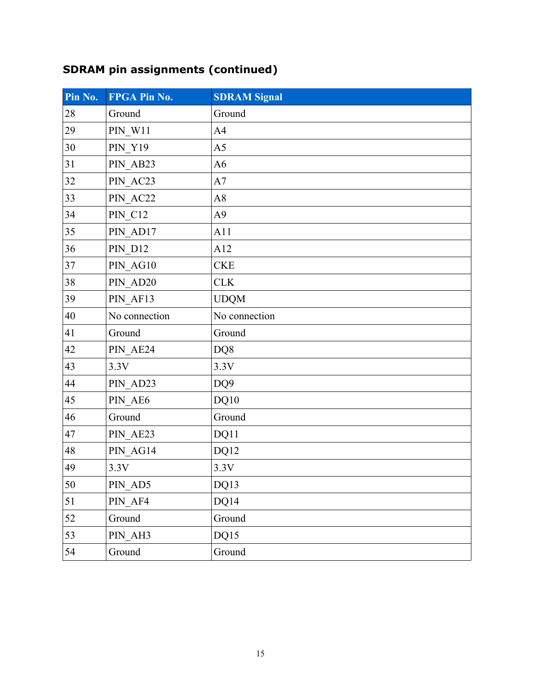# **SDRAM pin assignments (continued)**

| Pin No. | FPGA Pin No.   | <b>SDRAM Signal</b> |
|---------|----------------|---------------------|
| 28      | Ground         | Ground              |
| 29      | $PIN_W11$      | A <sub>4</sub>      |
| 30      | <b>PIN_Y19</b> | A <sub>5</sub>      |
| 31      | PIN_AB23       | A <sub>6</sub>      |
| 32      | PIN_AC23       | A7                  |
| 33      | PIN_AC22       | A8                  |
| 34      | <b>PIN C12</b> | A9                  |
| 35      | PIN AD17       | A11                 |
| 36      | <b>PIN_D12</b> | A12                 |
| 37      | PIN_AG10       | <b>CKE</b>          |
| 38      | PIN_AD20       | <b>CLK</b>          |
| 39      | PIN_AF13       | <b>UDQM</b>         |
| 40      | No connection  | No connection       |
| 41      | Ground         | Ground              |
| 42      | PIN_AE24       | DQ8                 |
| 43      | 3.3V           | 3.3V                |
| 44      | PIN_AD23       | DQ <sub>9</sub>     |
| 45      | PIN AE6        | DQ10                |
| 46      | Ground         | Ground              |
| 47      | PIN_AE23       | DQ11                |
| 48      | PIN AG14       | DQ12                |
| 49      | 3.3V           | 3.3V                |
| 50      | PIN_AD5        | DQ13                |
| 51      | PIN AF4        | DQ14                |
| 52      | Ground         | Ground              |
| 53      | PIN AH3        | DQ15                |
| 54      | Ground         | Ground              |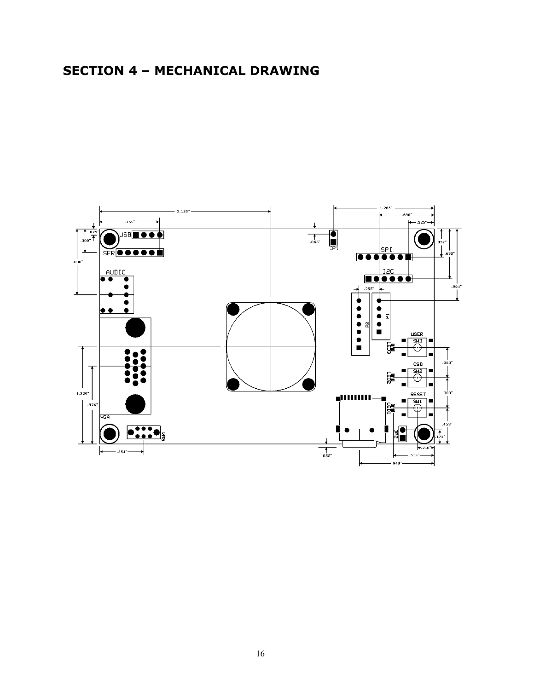# **SECTION 4 – MECHANICAL DRAWING**